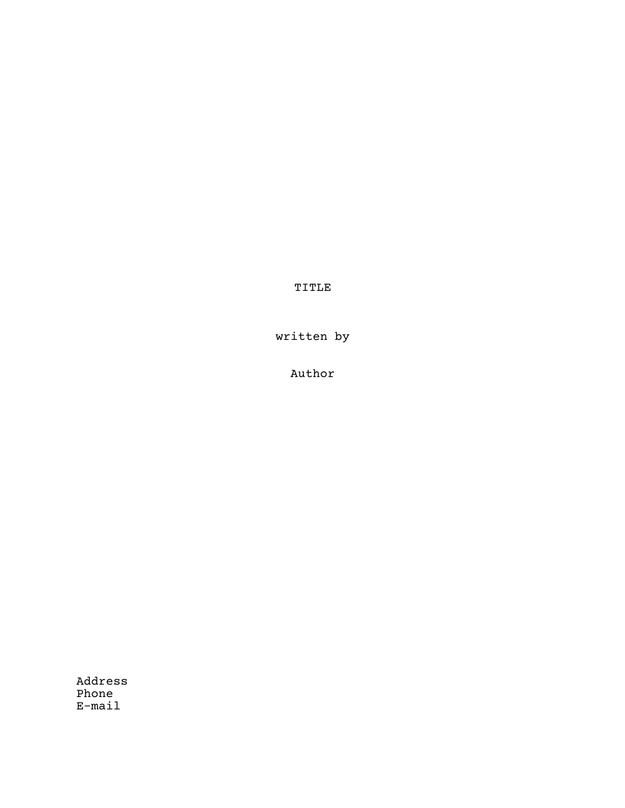TITLE

written by

Author

Address Phone E-mail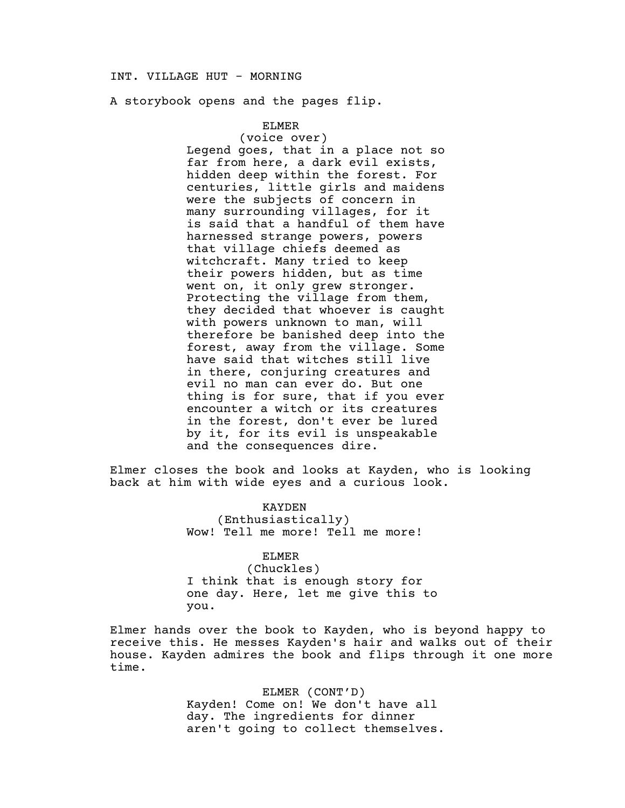## INT. VILLAGE HUT - MORNING

A storybook opens and the pages flip.

### ELMER

 (voice over) Legend goes, that in a place not so far from here, a dark evil exists, hidden deep within the forest. For centuries, little girls and maidens were the subjects of concern in many surrounding villages, for it is said that a handful of them have harnessed strange powers, powers that village chiefs deemed as witchcraft. Many tried to keep their powers hidden, but as time went on, it only grew stronger. Protecting the village from them, they decided that whoever is caught with powers unknown to man, will therefore be banished deep into the forest, away from the village. Some have said that witches still live in there, conjuring creatures and evil no man can ever do. But one thing is for sure, that if you ever encounter a witch or its creatures in the forest, don't ever be lured by it, for its evil is unspeakable and the consequences dire.

Elmer closes the book and looks at Kayden, who is looking back at him with wide eyes and a curious look.

### KAYDEN

(Enthusiastically) Wow! Tell me more! Tell me more!

### ELMER

 (Chuckles) I think that is enough story for one day. Here, let me give this to you.

Elmer hands over the book to Kayden, who is beyond happy to receive this. He messes Kayden's hair and walks out of their house. Kayden admires the book and flips through it one more time.

> ELMER (CONT'D) Kayden! Come on! We don't have all day. The ingredients for dinner aren't going to collect themselves.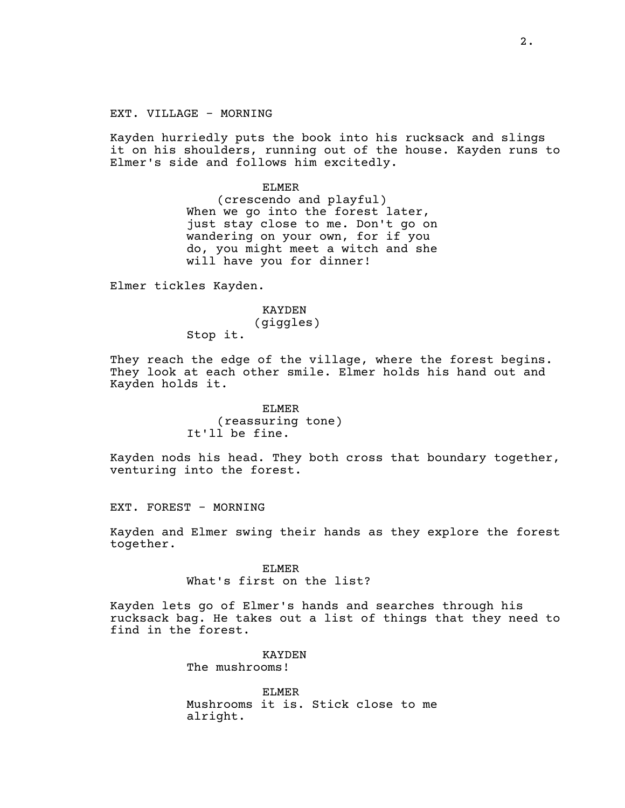EXT. VILLAGE - MORNING

Kayden hurriedly puts the book into his rucksack and slings it on his shoulders, running out of the house. Kayden runs to Elmer's side and follows him excitedly.

> ELMER (crescendo and playful) When we go into the forest later, just stay close to me. Don't go on wandering on your own, for if you do, you might meet a witch and she will have you for dinner!

Elmer tickles Kayden.

KAYDEN (giggles) Stop it.

They reach the edge of the village, where the forest begins. They look at each other smile. Elmer holds his hand out and Kayden holds it.

> ELMER (reassuring tone) It'll be fine.

Kayden nods his head. They both cross that boundary together, venturing into the forest.

EXT. FOREST - MORNING

Kayden and Elmer swing their hands as they explore the forest together.

> ELMER What's first on the list?

Kayden lets go of Elmer's hands and searches through his rucksack bag. He takes out a list of things that they need to find in the forest.

> KAYDEN The mushrooms!

ELMER Mushrooms it is. Stick close to me alright.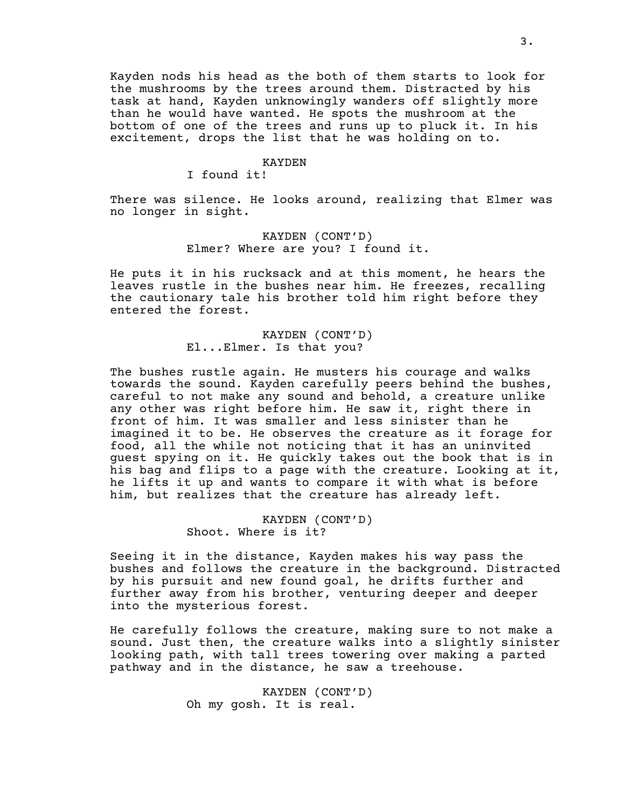Kayden nods his head as the both of them starts to look for the mushrooms by the trees around them. Distracted by his task at hand, Kayden unknowingly wanders off slightly more than he would have wanted. He spots the mushroom at the bottom of one of the trees and runs up to pluck it. In his excitement, drops the list that he was holding on to.

#### KAYDEN

I found it!

There was silence. He looks around, realizing that Elmer was no longer in sight.

### KAYDEN (CONT'D) Elmer? Where are you? I found it.

He puts it in his rucksack and at this moment, he hears the leaves rustle in the bushes near him. He freezes, recalling the cautionary tale his brother told him right before they entered the forest.

# KAYDEN (CONT'D) El...Elmer. Is that you?

The bushes rustle again. He musters his courage and walks towards the sound. Kayden carefully peers behind the bushes, careful to not make any sound and behold, a creature unlike any other was right before him. He saw it, right there in front of him. It was smaller and less sinister than he imagined it to be. He observes the creature as it forage for food, all the while not noticing that it has an uninvited guest spying on it. He quickly takes out the book that is in his bag and flips to a page with the creature. Looking at it, he lifts it up and wants to compare it with what is before him, but realizes that the creature has already left.

> KAYDEN (CONT'D) Shoot. Where is it?

Seeing it in the distance, Kayden makes his way pass the bushes and follows the creature in the background. Distracted by his pursuit and new found goal, he drifts further and further away from his brother, venturing deeper and deeper into the mysterious forest.

He carefully follows the creature, making sure to not make a sound. Just then, the creature walks into a slightly sinister looking path, with tall trees towering over making a parted pathway and in the distance, he saw a treehouse.

> KAYDEN (CONT'D) Oh my gosh. It is real.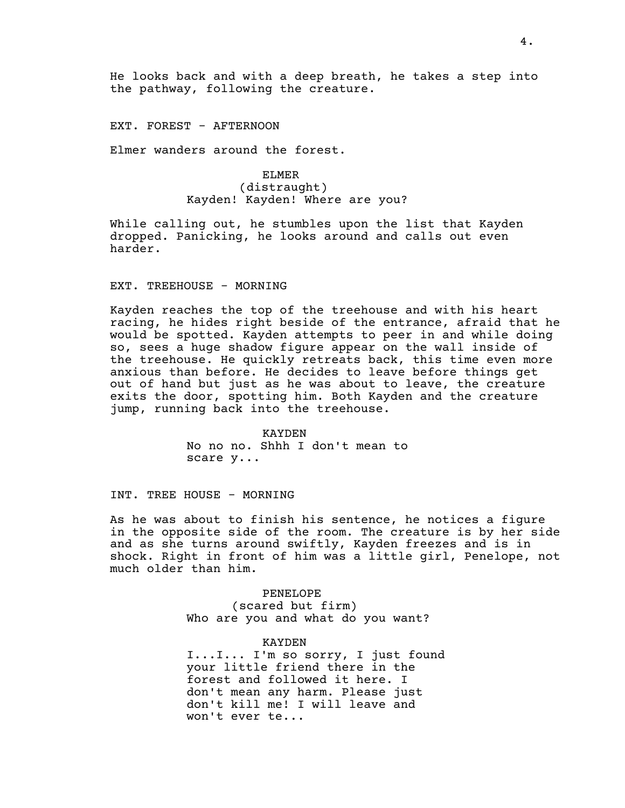He looks back and with a deep breath, he takes a step into the pathway, following the creature.

#### EXT. FOREST - AFTERNOON

Elmer wanders around the forest.

## ELMER (distraught) Kayden! Kayden! Where are you?

While calling out, he stumbles upon the list that Kayden dropped. Panicking, he looks around and calls out even harder.

### EXT. TREEHOUSE - MORNING

Kayden reaches the top of the treehouse and with his heart racing, he hides right beside of the entrance, afraid that he would be spotted. Kayden attempts to peer in and while doing so, sees a huge shadow figure appear on the wall inside of the treehouse. He quickly retreats back, this time even more anxious than before. He decides to leave before things get out of hand but just as he was about to leave, the creature exits the door, spotting him. Both Kayden and the creature jump, running back into the treehouse.

> KAYDEN No no no. Shhh I don't mean to scare y...

INT. TREE HOUSE - MORNING

As he was about to finish his sentence, he notices a figure in the opposite side of the room. The creature is by her side and as she turns around swiftly, Kayden freezes and is in shock. Right in front of him was a little girl, Penelope, not much older than him.

> PENELOPE (scared but firm) Who are you and what do you want?

KAYDEN I...I... I'm so sorry, I just found your little friend there in the forest and followed it here. I don't mean any harm. Please just don't kill me! I will leave and won't ever te...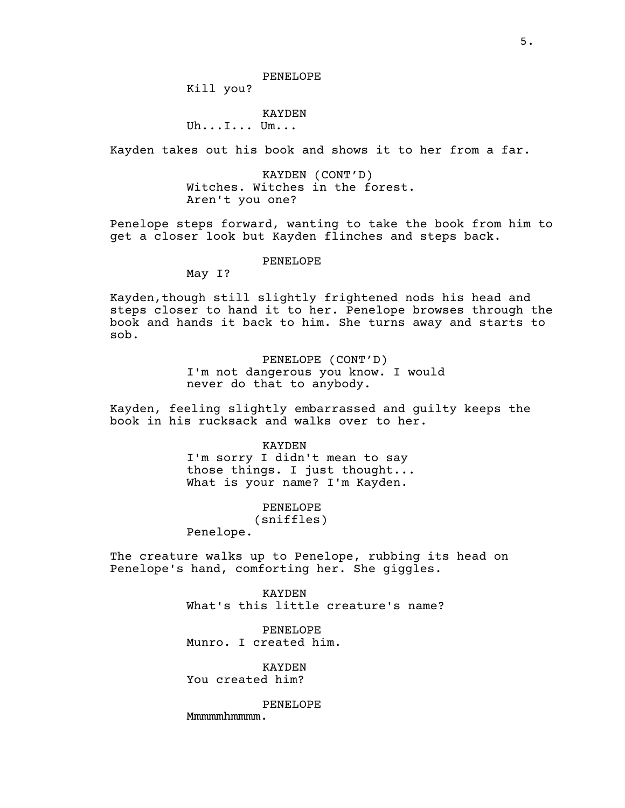Kill you?

### KAYDEN

# Uh...I... Um...

Kayden takes out his book and shows it to her from a far.

KAYDEN (CONT'D) Witches. Witches in the forest. Aren't you one?

Penelope steps forward, wanting to take the book from him to get a closer look but Kayden flinches and steps back.

#### PENELOPE

May I?

Kayden, though still slightly frightened nods his head and steps closer to hand it to her. Penelope browses through the book and hands it back to him. She turns away and starts to sob.

> PENELOPE (CONT'D) I'm not dangerous you know. I would never do that to anybody.

Kayden, feeling slightly embarrassed and guilty keeps the book in his rucksack and walks over to her.

> KAYDEN I'm sorry I didn't mean to say those things. I just thought... What is your name? I'm Kayden.

### PENELOPE

(sniffles)

Penelope.

The creature walks up to Penelope, rubbing its head on Penelope's hand, comforting her. She giggles.

> KAYDEN What's this little creature's name?

PENELOPE Munro. I created him.

KAYDEN You created him?

#### PENELOPE

Mmmmmhmmmmm.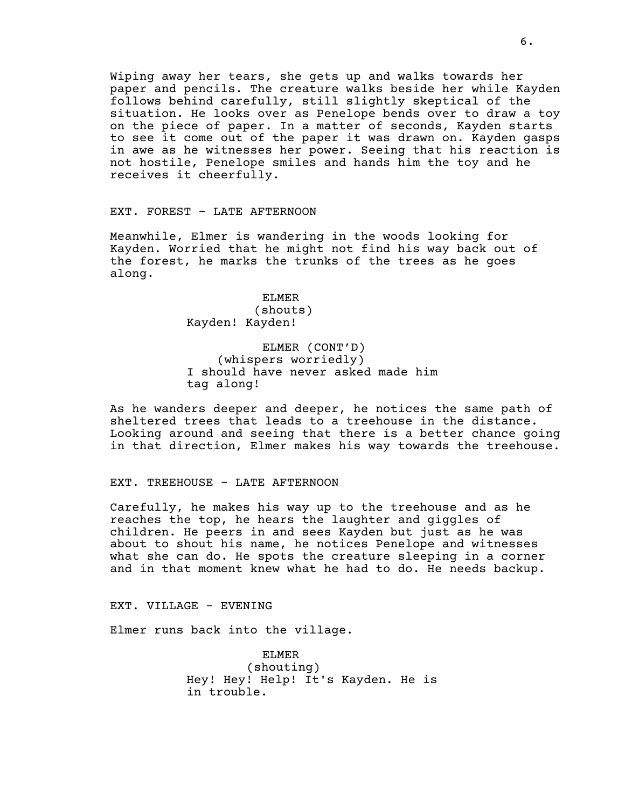Wiping away her tears, she gets up and walks towards her paper and pencils. The creature walks beside her while Kayden follows behind carefully, still slightly skeptical of the situation. He looks over as Penelope bends over to draw a toy on the piece of paper. In a matter of seconds, Kayden starts to see it come out of the paper it was drawn on. Kayden gasps in awe as he witnesses her power. Seeing that his reaction is not hostile, Penelope smiles and hands him the toy and he receives it cheerfully.

EXT. FOREST - LATE AFTERNOON

Meanwhile, Elmer is wandering in the woods looking for Kayden. Worried that he might not find his way back out of the forest, he marks the trunks of the trees as he goes along.

> ELMER (shouts) Kayden! Kayden!

ELMER (CONT'D) (whispers worriedly) I should have never asked made him tag along!

As he wanders deeper and deeper, he notices the same path of sheltered trees that leads to a treehouse in the distance. Looking around and seeing that there is a better chance going in that direction, Elmer makes his way towards the treehouse.

EXT. TREEHOUSE - LATE AFTERNOON

Carefully, he makes his way up to the treehouse and as he reaches the top, he hears the laughter and giggles of children. He peers in and sees Kayden but just as he was about to shout his name, he notices Penelope and witnesses what she can do. He spots the creature sleeping in a corner and in that moment knew what he had to do. He needs backup.

EXT. VILLAGE - EVENING

Elmer runs back into the village.

ELMER (shouting) Hey! Hey! Help! It's Kayden. He is in trouble.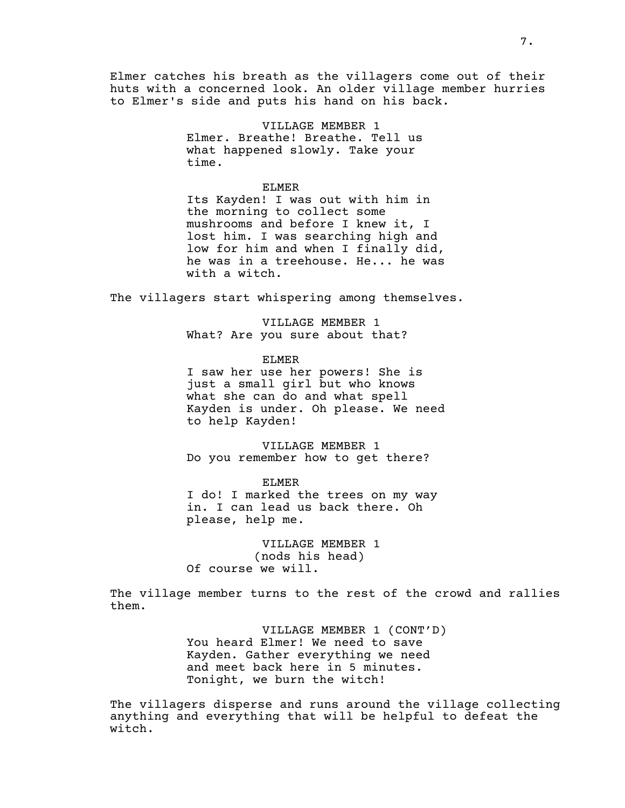Elmer catches his breath as the villagers come out of their huts with a concerned look. An older village member hurries to Elmer's side and puts his hand on his back.

> VILLAGE MEMBER 1 Elmer. Breathe! Breathe. Tell us what happened slowly. Take your time.

> > ELMER

Its Kayden! I was out with him in the morning to collect some mushrooms and before I knew it, I lost him. I was searching high and low for him and when I finally did, he was in a treehouse. He... he was with a witch.

The villagers start whispering among themselves.

VILLAGE MEMBER 1 What? Are you sure about that?

ELMER I saw her use her powers! She is just a small girl but who knows what she can do and what spell Kayden is under. Oh please. We need to help Kayden!

VILLAGE MEMBER 1 Do you remember how to get there?

ELMER I do! I marked the trees on my way in. I can lead us back there. Oh please, help me.

VILLAGE MEMBER 1 (nods his head) Of course we will.

The village member turns to the rest of the crowd and rallies them.

> VILLAGE MEMBER 1 (CONT'D) You heard Elmer! We need to save Kayden. Gather everything we need and meet back here in 5 minutes. Tonight, we burn the witch!

The villagers disperse and runs around the village collecting anything and everything that will be helpful to defeat the witch.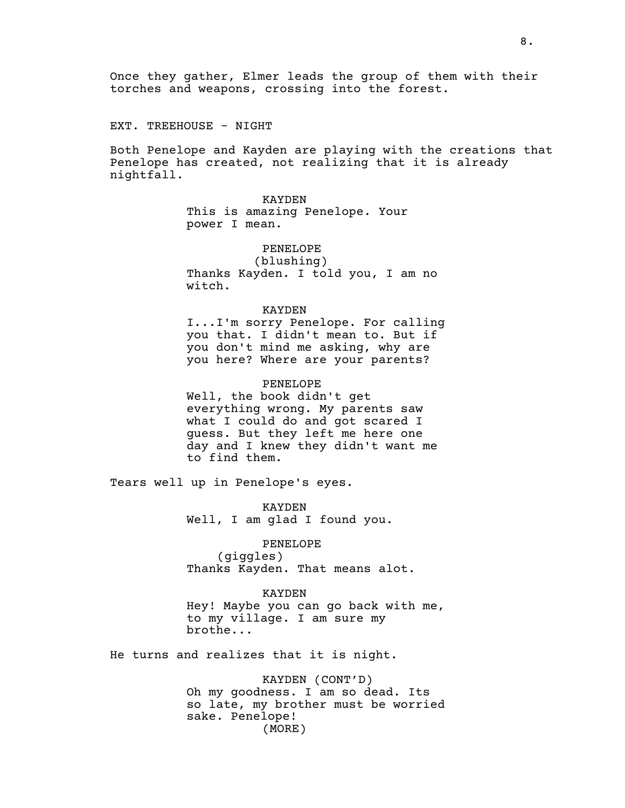Once they gather, Elmer leads the group of them with their torches and weapons, crossing into the forest.

EXT. TREEHOUSE - NIGHT

Both Penelope and Kayden are playing with the creations that Penelope has created, not realizing that it is already nightfall.

**KAYDEN** 

This is amazing Penelope. Your power I mean.

PENELOPE

 (blushing) Thanks Kayden. I told you, I am no witch.

#### KAYDEN

I...I'm sorry Penelope. For calling you that. I didn't mean to. But if you don't mind me asking, why are you here? Where are your parents?

#### PENELOPE

Well, the book didn't get everything wrong. My parents saw what I could do and got scared I guess. But they left me here one day and I knew they didn't want me to find them.

Tears well up in Penelope's eyes.

KAYDEN Well, I am glad I found you.

## PENELOPE

(giggles) Thanks Kayden. That means alot.

#### KAYDEN

Hey! Maybe you can go back with me, to my village. I am sure my brothe...

He turns and realizes that it is night.

KAYDEN (CONT'D) Oh my goodness. I am so dead. Its so late, my brother must be worried sake. Penelope! (MORE)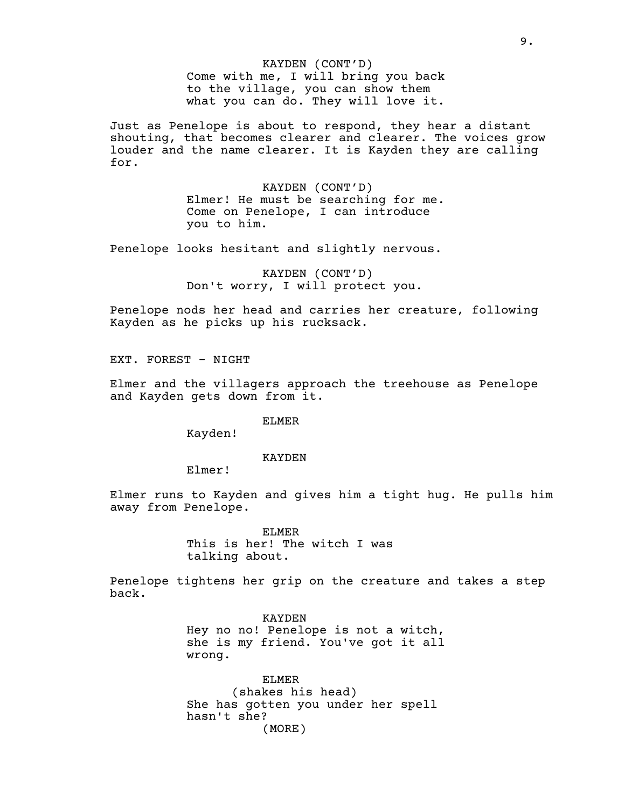KAYDEN (CONT'D) Come with me, I will bring you back to the village, you can show them what you can do. They will love it.

Just as Penelope is about to respond, they hear a distant shouting, that becomes clearer and clearer. The voices grow louder and the name clearer. It is Kayden they are calling for.

> KAYDEN (CONT'D) Elmer! He must be searching for me. Come on Penelope, I can introduce you to him.

Penelope looks hesitant and slightly nervous.

KAYDEN (CONT'D) Don't worry, I will protect you.

Penelope nods her head and carries her creature, following Kayden as he picks up his rucksack.

EXT. FOREST - NIGHT

Elmer and the villagers approach the treehouse as Penelope and Kayden gets down from it.

ELMER

Kayden!

KAYDEN

Elmer!

Elmer runs to Kayden and gives him a tight hug. He pulls him away from Penelope.

> ELMER This is her! The witch I was talking about.

Penelope tightens her grip on the creature and takes a step back.

> KAYDEN Hey no no! Penelope is not a witch, she is my friend. You've got it all wrong.

ELMER (shakes his head) She has gotten you under her spell hasn't she? (MORE)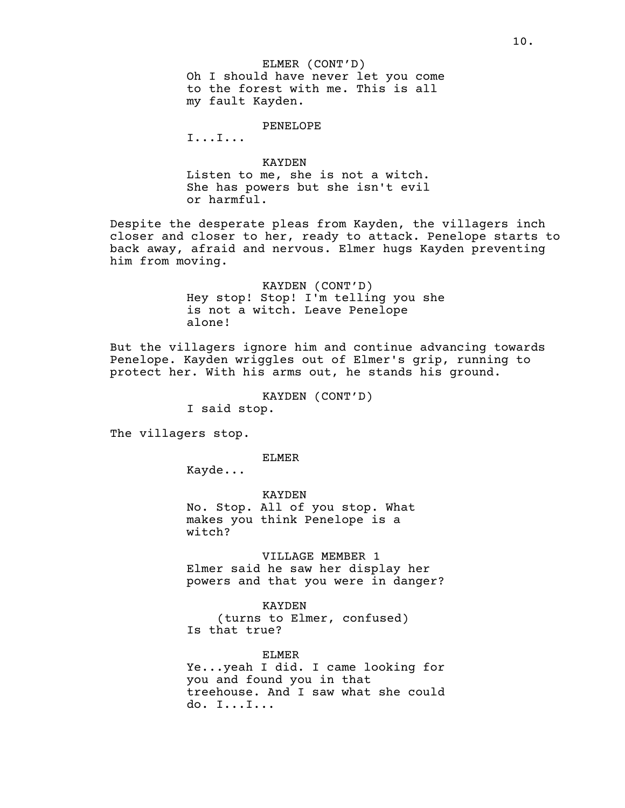ELMER (CONT'D) Oh I should have never let you come to the forest with me. This is all my fault Kayden.

PENELOPE

I...I...

### KAYDEN

Listen to me, she is not a witch. She has powers but she isn't evil or harmful.

Despite the desperate pleas from Kayden, the villagers inch closer and closer to her, ready to attack. Penelope starts to back away, afraid and nervous. Elmer hugs Kayden preventing him from moving.

> KAYDEN (CONT'D) Hey stop! Stop! I'm telling you she is not a witch. Leave Penelope alone!

But the villagers ignore him and continue advancing towards Penelope. Kayden wriggles out of Elmer's grip, running to protect her. With his arms out, he stands his ground.

KAYDEN (CONT'D)

I said stop.

The villagers stop.

ELMER

Kayde...

KAYDEN No. Stop. All of you stop. What makes you think Penelope is a witch?

VILLAGE MEMBER 1 Elmer said he saw her display her powers and that you were in danger?

KAYDEN (turns to Elmer, confused) Is that true?

#### ELMER

Ye...yeah I did. I came looking for you and found you in that treehouse. And I saw what she could do. I...I...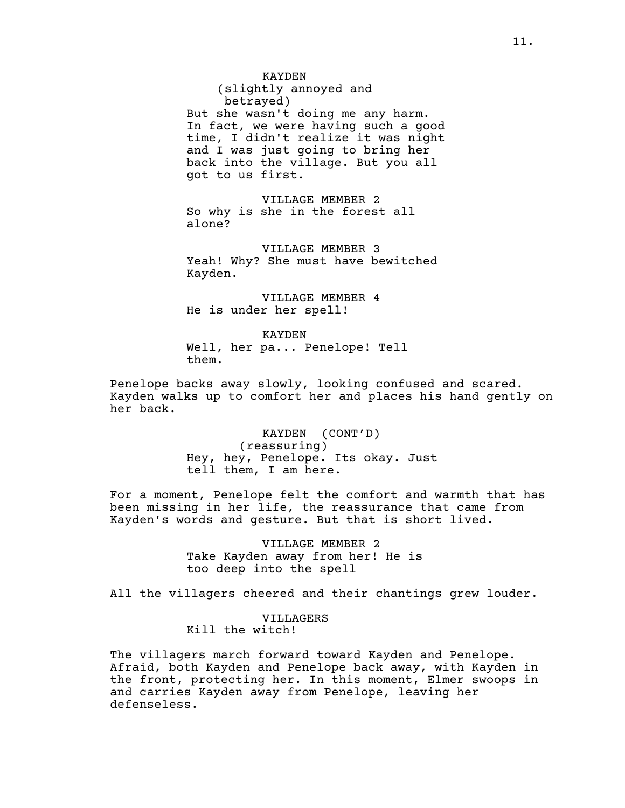(slightly annoyed and betrayed) But she wasn't doing me any harm. In fact, we were having such a good time, I didn't realize it was night and I was just going to bring her back into the village. But you all got to us first.

VILLAGE MEMBER 2 So why is she in the forest all alone?

VILLAGE MEMBER 3 Yeah! Why? She must have bewitched Kayden.

VILLAGE MEMBER 4 He is under her spell!

KAYDEN Well, her pa... Penelope! Tell them.

Penelope backs away slowly, looking confused and scared. Kayden walks up to comfort her and places his hand gently on her back.

> KAYDEN (CONT'D) (reassuring) Hey, hey, Penelope. Its okay. Just tell them, I am here.

For a moment, Penelope felt the comfort and warmth that has been missing in her life, the reassurance that came from Kayden's words and gesture. But that is short lived.

> VILLAGE MEMBER 2 Take Kayden away from her! He is too deep into the spell

All the villagers cheered and their chantings grew louder.

VILLAGERS Kill the witch!

The villagers march forward toward Kayden and Penelope. Afraid, both Kayden and Penelope back away, with Kayden in the front, protecting her. In this moment, Elmer swoops in and carries Kayden away from Penelope, leaving her defenseless.